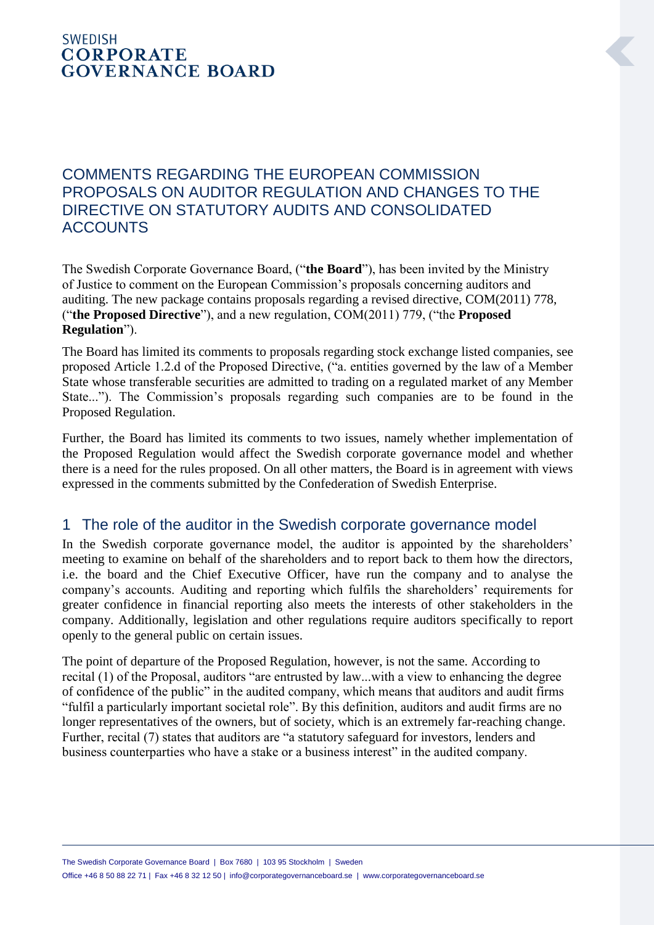## **SWEDISH CORPORATE GOVERNANCE BOARD**

## COMMENTS REGARDING THE EUROPEAN COMMISSION PROPOSALS ON AUDITOR REGULATION AND CHANGES TO THE DIRECTIVE ON STATUTORY AUDITS AND CONSOLIDATED **ACCOUNTS**

The Swedish Corporate Governance Board, ("**the Board**"), has been invited by the Ministry of Justice to comment on the European Commission's proposals concerning auditors and auditing. The new package contains proposals regarding a revised directive, COM(2011) 778, ("**the Proposed Directive**"), and a new regulation, COM(2011) 779, ("the **Proposed Regulation**").

The Board has limited its comments to proposals regarding stock exchange listed companies, see proposed Article 1.2.d of the Proposed Directive, ("a. entities governed by the law of a Member State whose transferable securities are admitted to trading on a regulated market of any Member State..."). The Commission's proposals regarding such companies are to be found in the Proposed Regulation.

Further, the Board has limited its comments to two issues, namely whether implementation of the Proposed Regulation would affect the Swedish corporate governance model and whether there is a need for the rules proposed. On all other matters, the Board is in agreement with views expressed in the comments submitted by the Confederation of Swedish Enterprise.

## 1 The role of the auditor in the Swedish corporate governance model

In the Swedish corporate governance model, the auditor is appointed by the shareholders' meeting to examine on behalf of the shareholders and to report back to them how the directors, i.e. the board and the Chief Executive Officer, have run the company and to analyse the company's accounts. Auditing and reporting which fulfils the shareholders' requirements for greater confidence in financial reporting also meets the interests of other stakeholders in the company. Additionally, legislation and other regulations require auditors specifically to report openly to the general public on certain issues.

The point of departure of the Proposed Regulation, however, is not the same. According to recital (1) of the Proposal, auditors "are entrusted by law...with a view to enhancing the degree of confidence of the public" in the audited company, which means that auditors and audit firms "fulfil a particularly important societal role". By this definition, auditors and audit firms are no longer representatives of the owners, but of society, which is an extremely far-reaching change. Further, recital (7) states that auditors are "a statutory safeguard for investors, lenders and business counterparties who have a stake or a business interest" in the audited company.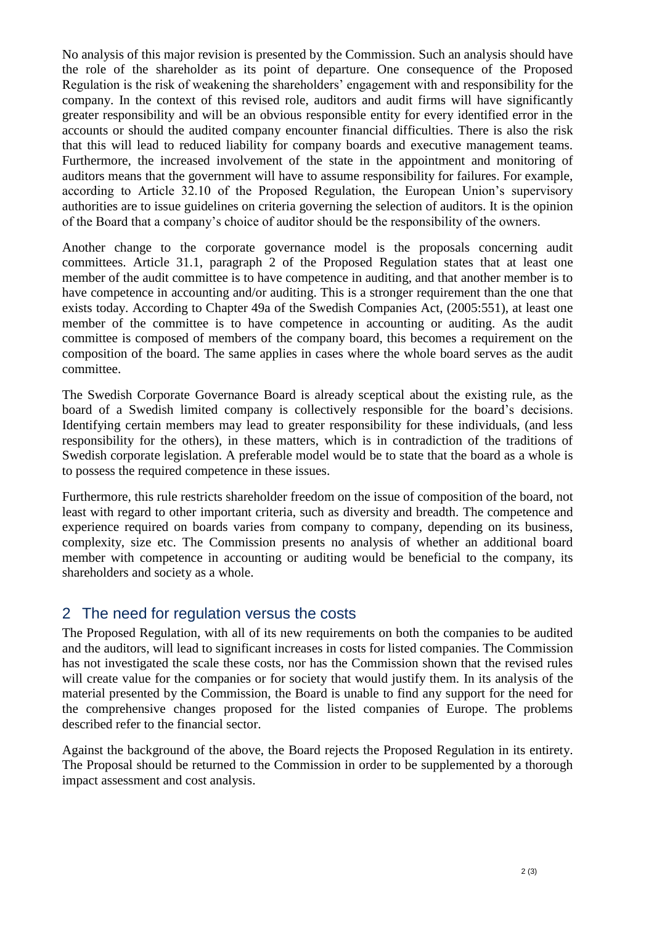No analysis of this major revision is presented by the Commission. Such an analysis should have the role of the shareholder as its point of departure. One consequence of the Proposed Regulation is the risk of weakening the shareholders' engagement with and responsibility for the company. In the context of this revised role, auditors and audit firms will have significantly greater responsibility and will be an obvious responsible entity for every identified error in the accounts or should the audited company encounter financial difficulties. There is also the risk that this will lead to reduced liability for company boards and executive management teams. Furthermore, the increased involvement of the state in the appointment and monitoring of auditors means that the government will have to assume responsibility for failures. For example, according to Article 32.10 of the Proposed Regulation, the European Union's supervisory authorities are to issue guidelines on criteria governing the selection of auditors. It is the opinion of the Board that a company's choice of auditor should be the responsibility of the owners.

Another change to the corporate governance model is the proposals concerning audit committees. Article 31.1, paragraph 2 of the Proposed Regulation states that at least one member of the audit committee is to have competence in auditing, and that another member is to have competence in accounting and/or auditing. This is a stronger requirement than the one that exists today. According to Chapter 49a of the Swedish Companies Act, (2005:551), at least one member of the committee is to have competence in accounting or auditing. As the audit committee is composed of members of the company board, this becomes a requirement on the composition of the board. The same applies in cases where the whole board serves as the audit committee.

The Swedish Corporate Governance Board is already sceptical about the existing rule, as the board of a Swedish limited company is collectively responsible for the board's decisions. Identifying certain members may lead to greater responsibility for these individuals, (and less responsibility for the others), in these matters, which is in contradiction of the traditions of Swedish corporate legislation. A preferable model would be to state that the board as a whole is to possess the required competence in these issues.

Furthermore, this rule restricts shareholder freedom on the issue of composition of the board, not least with regard to other important criteria, such as diversity and breadth. The competence and experience required on boards varies from company to company, depending on its business, complexity, size etc. The Commission presents no analysis of whether an additional board member with competence in accounting or auditing would be beneficial to the company, its shareholders and society as a whole.

## 2 The need for regulation versus the costs

The Proposed Regulation, with all of its new requirements on both the companies to be audited and the auditors, will lead to significant increases in costs for listed companies. The Commission has not investigated the scale these costs, nor has the Commission shown that the revised rules will create value for the companies or for society that would justify them. In its analysis of the material presented by the Commission, the Board is unable to find any support for the need for the comprehensive changes proposed for the listed companies of Europe. The problems described refer to the financial sector.

Against the background of the above, the Board rejects the Proposed Regulation in its entirety. The Proposal should be returned to the Commission in order to be supplemented by a thorough impact assessment and cost analysis.